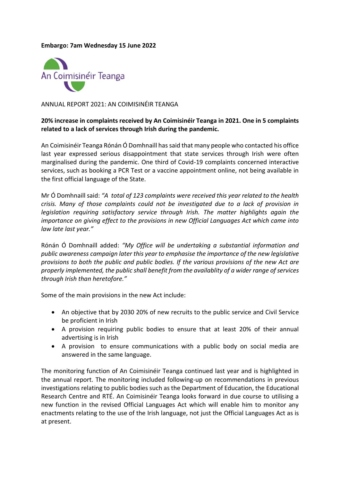## **Embargo: 7am Wednesday 15 June 2022**



ANNUAL REPORT 2021: AN COIMISINÉIR TEANGA

## **20% increase in complaints received by An Coimisinéir Teanga in 2021. One in 5 complaints related to a lack of services through Irish during the pandemic.**

An Coimisinéir Teanga Rónán Ó Domhnaill has said that many people who contacted his office last year expressed serious disappointment that state services through Irish were often marginalised during the pandemic. One third of Covid-19 complaints concerned interactive services, such as booking a PCR Test or a vaccine appointment online, not being available in the first official language of the State.

Mr Ó Domhnaill said: *"A total of 123 complaints were received this year related to the health crisis. Many of those complaints could not be investigated due to a lack of provision in legislation requiring satisfactory service through Irish. The matter highlights again the importance on giving effect to the provisions in new Official Languages Act which came into law late last year."*

Rónán Ó Domhnaill added: *"My Office will be undertaking a substantial information and public awareness campaign later this year to emphasise the importance of the new legislative provisions to both the public and public bodies. If the various provisions of the new Act are properly implemented, the public shall benefit from the availablity of a wider range of services through Irish than heretofore."*

Some of the main provisions in the new Act include:

- An objective that by 2030 20% of new recruits to the public service and Civil Service be proficient in Irish
- A provision requiring public bodies to ensure that at least 20% of their annual advertising is in Irish
- A provision to ensure communications with a public body on social media are answered in the same language.

The monitoring function of An Coimisinéir Teanga continued last year and is highlighted in the annual report. The monitoring included following-up on recommendations in previous investigations relating to public bodies such as the Department of Education, the Educational Research Centre and RTÉ. An Coimisinéir Teanga looks forward in due course to utilising a new function in the revised Official Languages Act which will enable him to monitor any enactments relating to the use of the Irish language, not just the Official Languages Act as is at present.